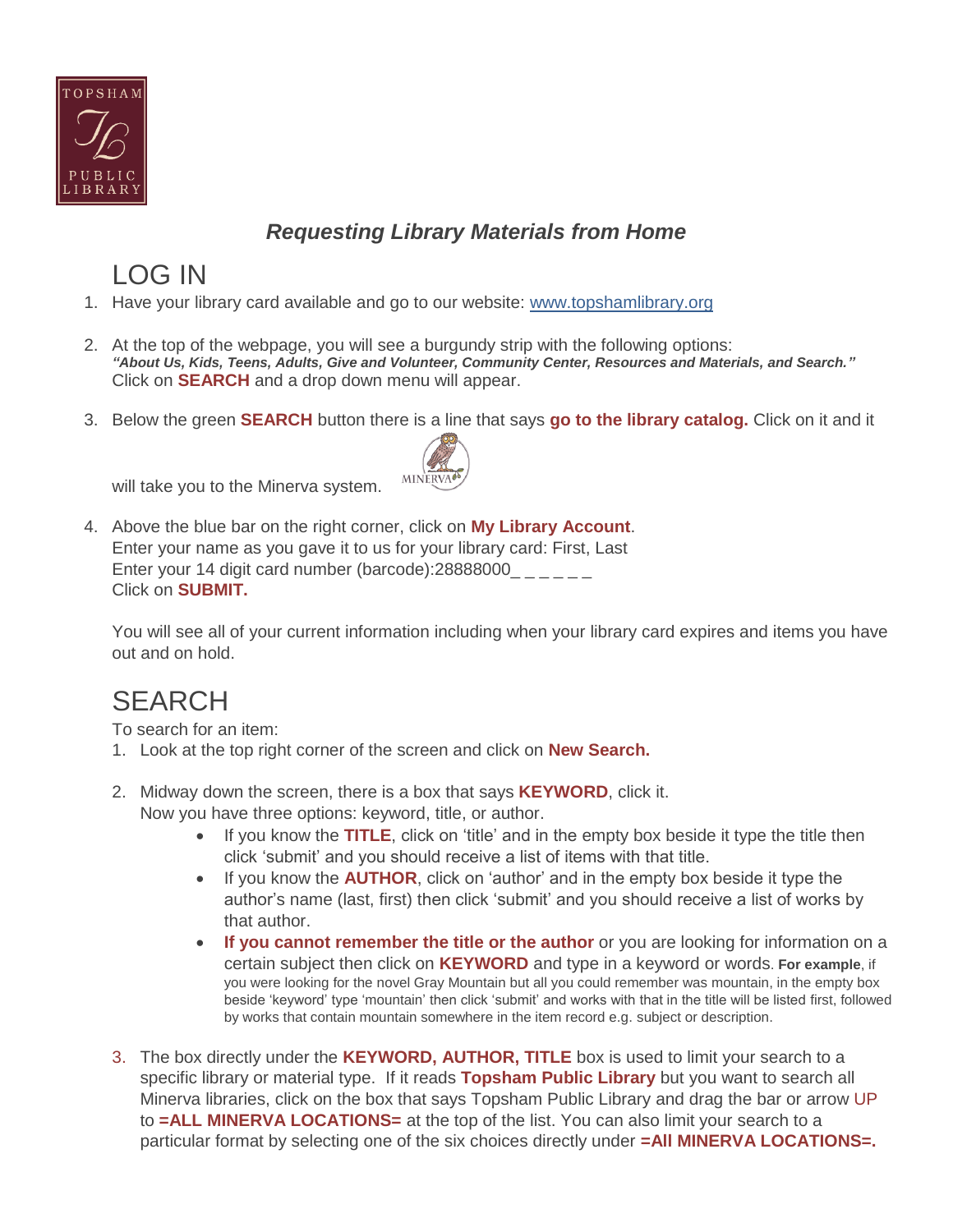

### *Requesting Library Materials from Home*

# LOG IN

- 1. Have your library card available and go to our website: [www.topshamlibrary.org](http://www.topshamlibrary.org/)
- 2. At the top of the webpage, you will see a burgundy strip with the following options: *"About Us, Kids, Teens, Adults, Give and Volunteer, Community Center, Resources and Materials, and Search."* Click on **SEARCH** and a drop down menu will appear.
- 3. Below the green **SEARCH** button there is a line that says **go to the library catalog.** Click on it and it



will take you to the Minerva system.

4. Above the blue bar on the right corner, click on **My Library Account**. Enter your name as you gave it to us for your library card: First, Last Enter your 14 digit card number (barcode): 28888000 Click on **SUBMIT.**

You will see all of your current information including when your library card expires and items you have out and on hold.

## **SEARCH**

To search for an item:

- 1. Look at the top right corner of the screen and click on **New Search.**
- 2. Midway down the screen, there is a box that says **KEYWORD**, click it. Now you have three options: keyword, title, or author.
	- If you know the **TITLE**, click on 'title' and in the empty box beside it type the title then click 'submit' and you should receive a list of items with that title.
	- If you know the **AUTHOR**, click on 'author' and in the empty box beside it type the author's name (last, first) then click 'submit' and you should receive a list of works by that author.
	- **If you cannot remember the title or the author** or you are looking for information on a certain subject then click on **KEYWORD** and type in a keyword or words. **For example**, if you were looking for the novel Gray Mountain but all you could remember was mountain, in the empty box beside 'keyword' type 'mountain' then click 'submit' and works with that in the title will be listed first, followed by works that contain mountain somewhere in the item record e.g. subject or description.
- 3. The box directly under the **KEYWORD, AUTHOR, TITLE** box is used to limit your search to a specific library or material type. If it reads **Topsham Public Library** but you want to search all Minerva libraries, click on the box that says Topsham Public Library and drag the bar or arrow UP to **=ALL MINERVA LOCATIONS=** at the top of the list. You can also limit your search to a particular format by selecting one of the six choices directly under **=All MINERVA LOCATIONS=.**